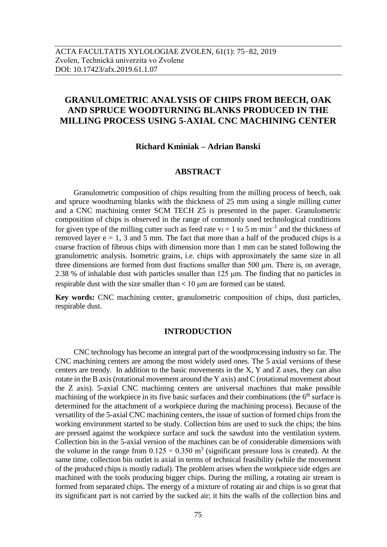# **GRANULOMETRIC ANALYSIS OF CHIPS FROM BEECH, OAK AND SPRUCE WOODTURNING BLANKS PRODUCED IN THE MILLING PROCESS USING 5-AXIAL CNC MACHINING CENTER**

**Richard Kminiak – Adrian Banski**

### **ABSTRACT**

Granulometric composition of chips resulting from the milling process of beech, oak and spruce woodturning blanks with the thickness of 25 mm using a single milling cutter and a CNC machining center SCM TECH Z5 is presented in the paper. Granulometric composition of chips is observed in the range of commonly used technological conditions for given type of the milling cutter such as feed rate  $v_f = 1$  to 5 m·min<sup>-1</sup> and the thickness of removed layer  $e = 1$ , 3 and 5 mm. The fact that more than a half of the produced chips is a coarse fraction of fibrous chips with dimension more than 1 mm can be stated following the granulometric analysis. Isometric grains, i.e. chips with approximately the same size in all three dimensions are formed from dust fractions smaller than 500 μm. There is, on average, 2.38 % of inhalable dust with particles smaller than 125 μm. The finding that no particles in respirable dust with the size smaller than < 10 μm are formed can be stated.

**Key words:** CNC machining center, granulometric composition of chips, dust particles, respirable dust.

#### **INTRODUCTION**

CNC technology has become an integral part of the woodprocessing industry so far. The CNC machining centers are among the most widely used ones. The 5 axial versions of these centers are trendy. In addition to the basic movements in the X, Y and Z axes, they can also rotate in the B axis (rotational movement around the Y axis) and C (rotational movement about the Z axis). 5-axial CNC machining centers are universal machines that make possible machining of the workpiece in its five basic surfaces and their combinations (the  $6<sup>th</sup>$  surface is determined for the attachment of a workpiece during the machining process). Because of the versatility of the 5-axial CNC machining centers, the issue of suction of formed chips from the working environment started to be study. Collection bins are used to suck the chips; the bins are pressed against the workpiece surface and suck the sawdust into the ventilation system. Collection bin in the 5-axial version of the machines can be of considerable dimensions with the volume in the range from  $0.125 \div 0.350$  m<sup>3</sup> (significant pressure loss is created). At the same time, collection bin outlet is axial in terms of technical feasibility (while the movement of the produced chips is mostly radial). The problem arises when the workpiece side edges are machined with the tools producing bigger chips. During the milling, a rotating air stream is formed from separated chips. The energy of a mixture of rotating air and chips is so great that its significant part is not carried by the sucked air; it hits the walls of the collection bins and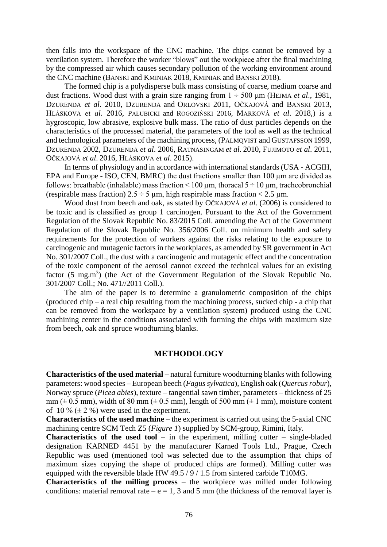then falls into the workspace of the CNC machine. The chips cannot be removed by a ventilation system. Therefore the worker "blows" out the workpiece after the final machining by the compressed air which causes secondary pollution of the working environment around the CNC machine (BANSKI and KMINIAK 2018, KMINIAK and BANSKI 2018).

The formed chip is a polydisperse bulk mass consisting of coarse, medium coarse and dust fractions. Wood dust with a grain size ranging from 1 ÷ 500 μm (HEJMA *et al*., 1981, DZURENDA *et al*. 2010, DZURENDA and ORLOVSKI 2011, OČKAJOVÁ and BANSKI 2013, HLÁSKOVA *et al*. 2016, PAŁUBICKI and ROGOZIŃSKI 2016, MARKOVÁ *et al*. 2018,) is a hygroscopic, low abrasive, explosive bulk mass. The ratio of dust particles depends on the characteristics of the processed material, the parameters of the tool as well as the technical and technological parameters of the machining process, (PALMQVIST and GUSTAFSSON 1999, DZURENDA 2002, DZURENDA *et al*. 2006, RATNASINGAM *et al*. 2010, FUJIMOTO *et al*. 2011, OČKAJOVÁ *et al*. 2016, HLÁSKOVA *et al*. 2015).

In terms of physiology and in accordance with international standards (USA - ACGIH, EPA and Europe - ISO, CEN, BMRC) the dust fractions smaller than 100  $\mu$ m are divided as follows: breathable (inhalable) mass fraction < 100  $\mu$ m, thoracal 5 ÷ 10  $\mu$ m, tracheobronchial (respirable mass fraction)  $2.5 \div 5$  µm, high respirable mass fraction < 2.5 µm.

Wood dust from beech and oak, as stated by OČKAJOVÁ *et al*. (2006) is considered to be toxic and is classified as group 1 carcinogen. Pursuant to the Act of the Government Regulation of the Slovak Republic No. 83/2015 Coll. amending the Act of the Government Regulation of the Slovak Republic No. 356/2006 Coll. on minimum health and safety requirements for the protection of workers against the risks relating to the exposure to carcinogenic and mutagenic factors in the workplaces, as amended by SR government in Act No. 301/2007 Coll., the dust with a carcinogenic and mutagenic effect and the concentration of the toxic component of the aerosol cannot exceed the technical values for an existing factor  $(5 \text{ mg.m}^3)$  (the Act of the Government Regulation of the Slovak Republic No. 301/2007 Coll.; No. 471//2011 Coll.).

The aim of the paper is to determine a granulometric composition of the chips (produced chip – a real chip resulting from the machining process, sucked chip - a chip that can be removed from the workspace by a ventilation system) produced using the CNC machining center in the conditions associated with forming the chips with maximum size from beech, oak and spruce woodturning blanks.

#### **METHODOLOGY**

**Characteristics of the used material** – natural furniture woodturning blanks with following parameters: wood species – European beech (*Fagus sylvatica*), English oak (*Quercus robur*), Norway spruce (*Picea abies*), texture – tangential sawn timber, parameters – thickness of 25 mm ( $\pm$  0.5 mm), width of 80 mm ( $\pm$  0.5 mm), length of 500 mm ( $\pm$  1 mm), moisture content of 10 %  $(\pm 2 \%)$  were used in the experiment.

**Characteristics of the used machine** – the experiment is carried out using the 5-axial CNC machining centre SCM Tech Z5 (*Figure 1*) supplied by SCM-group, Rimini, Italy.

**Characteristics of the used tool** – in the experiment, milling cutter – single-bladed designation KARNED 4451 by the manufacturer Karned Tools Ltd., Prague, Czech Republic was used (mentioned tool was selected due to the assumption that chips of maximum sizes copying the shape of produced chips are formed). Milling cutter was equipped with the reversible blade HW 49.5 / 9 / 1.5 from sintered carbide T10MG.

**Characteristics of the milling process** – the workpiece was milled under following conditions: material removal rate –  $e = 1$ , 3 and 5 mm (the thickness of the removal layer is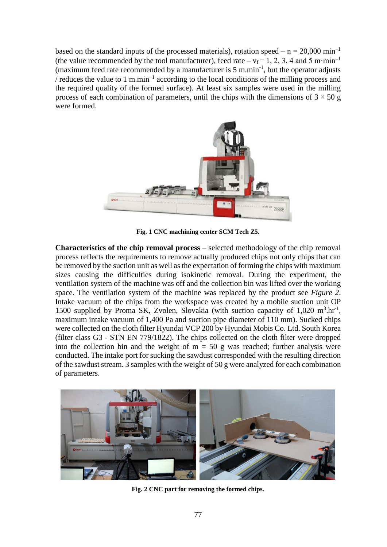based on the standard inputs of the processed materials), rotation speed –  $n = 20,000 \text{ min}^{-1}$ (the value recommended by the tool manufacturer), feed rate –  $v_f = 1, 2, 3, 4$  and 5 m·min<sup>-1</sup> (maximum feed rate recommended by a manufacturer is  $5 \text{ m.min}^{-1}$ , but the operator adjusts / reduces the value to 1 m.min<sup>-1</sup> according to the local conditions of the milling process and the required quality of the formed surface). At least six samples were used in the milling process of each combination of parameters, until the chips with the dimensions of  $3 \times 50$  g were formed.



**Fig. 1 CNC machining center SCM Tech Z5.**

**Characteristics of the chip removal process** – selected methodology of the chip removal process reflects the requirements to remove actually produced chips not only chips that can be removed by the suction unit as well as the expectation of forming the chips with maximum sizes causing the difficulties during isokinetic removal. During the experiment, the ventilation system of the machine was off and the collection bin was lifted over the working space. The ventilation system of the machine was replaced by the product see *Figure 2*. Intake vacuum of the chips from the workspace was created by a mobile suction unit OP 1500 supplied by Proma SK, Zvolen, Slovakia (with suction capacity of  $1,020 \text{ m}^3.\text{hr}^{-1}$ , maximum intake vacuum of 1,400 Pa and suction pipe diameter of 110 mm). Sucked chips were collected on the cloth filter Hyundai VCP 200 by Hyundai Mobis Co. Ltd. South Korea (filter class G3 - STN EN 779/1822). The chips collected on the cloth filter were dropped into the collection bin and the weight of  $m = 50$  g was reached; further analysis were conducted. The intake port for sucking the sawdust corresponded with the resulting direction of the sawdust stream. 3 samples with the weight of 50 g were analyzed for each combination of parameters.



**Fig. 2 CNC part for removing the formed chips.**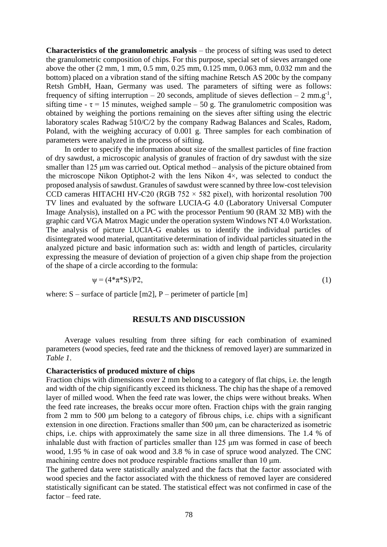**Characteristics of the granulometric analysis** – the process of sifting was used to detect the granulometric composition of chips. For this purpose, special set of sieves arranged one above the other (2 mm, 1 mm, 0.5 mm, 0.25 mm, 0.125 mm, 0.063 mm, 0.032 mm and the bottom) placed on a vibration stand of the sifting machine Retsch AS 200c by the company Retsh GmbH, Haan, Germany was used. The parameters of sifting were as follows: frequency of sifting interruption – 20 seconds, amplitude of sieves deflection – 2 mm.g<sup>-1</sup>, sifting time -  $\tau$  = 15 minutes, weighed sample – 50 g. The granulometric composition was obtained by weighing the portions remaining on the sieves after sifting using the electric laboratory scales Radwag 510/C/2 by the company Radwag Balances and Scales, Radom, Poland, with the weighing accuracy of 0.001 g. Three samples for each combination of parameters were analyzed in the process of sifting.

In order to specify the information about size of the smallest particles of fine fraction of dry sawdust, a microscopic analysis of granules of fraction of dry sawdust with the size smaller than 125 μm was carried out. Optical method – analysis of the picture obtained from the microscope Nikon Optiphot-2 with the lens Nikon 4×, was selected to conduct the proposed analysis of sawdust. Granules of sawdust were scanned by three low-cost television CCD cameras HITACHI HV-C20 (RGB 752  $\times$  582 pixel), with horizontal resolution 700 TV lines and evaluated by the software LUCIA-G 4.0 (Laboratory Universal Computer Image Analysis), installed on a PC with the processor Pentium 90 (RAM 32 MB) with the graphic card VGA Matrox Magic under the operation system Windows NT 4.0 Workstation. The analysis of picture LUCIA-G enables us to identify the individual particles of disintegrated wood material, quantitative determination of individual particles situated in the analyzed picture and basic information such as: width and length of particles, circularity expressing the measure of deviation of projection of a given chip shape from the projection of the shape of a circle according to the formula:

$$
\psi = (4^*\pi^*S)/P2,\tag{1}
$$

where:  $S$  – surface of particle [m2], P – perimeter of particle [m]

### **RESULTS AND DISCUSSION**

Average values resulting from three sifting for each combination of examined parameters (wood species, feed rate and the thickness of removed layer) are summarized in *Table 1*.

#### **Characteristics of produced mixture of chips**

Fraction chips with dimensions over 2 mm belong to a category of flat chips, i.e. the length and width of the chip significantly exceed its thickness. The chip has the shape of a removed layer of milled wood. When the feed rate was lower, the chips were without breaks. When the feed rate increases, the breaks occur more often. Fraction chips with the grain ranging from 2 mm to 500 μm belong to a category of fibrous chips, i.e. chips with a significant extension in one direction. Fractions smaller than 500 μm, can be characterized as isometric chips, i.e. chips with approximately the same size in all three dimensions. The 1.4 % of inhalable dust with fraction of particles smaller than 125 μm was formed in case of beech wood, 1.95 % in case of oak wood and 3.8 % in case of spruce wood analyzed. The CNC machining centre does not produce respirable fractions smaller than 10 μm.

The gathered data were statistically analyzed and the facts that the factor associated with wood species and the factor associated with the thickness of removed layer are considered statistically significant can be stated. The statistical effect was not confirmed in case of the factor – feed rate.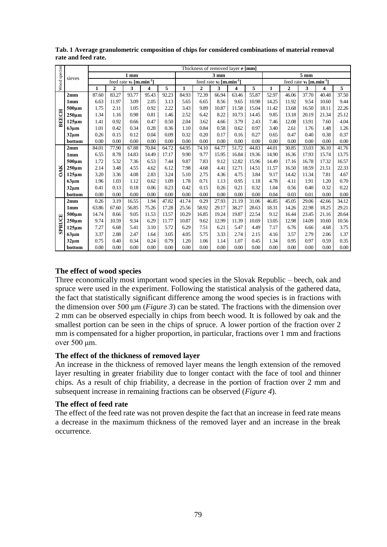| Wood species  | sieves            | Thickness of removed layer e [mm]      |                |       |       |       |                                        |                |       |       |       |                                        |                |       |       |          |
|---------------|-------------------|----------------------------------------|----------------|-------|-------|-------|----------------------------------------|----------------|-------|-------|-------|----------------------------------------|----------------|-------|-------|----------|
|               |                   | 1 <sub>mm</sub>                        |                |       |       |       | $3 \text{ mm}$                         |                |       |       |       | $5~\mathrm{mm}$                        |                |       |       |          |
|               |                   | feed rate $v_f$ [m.min <sup>-1</sup> ] |                |       |       |       | feed rate $v_f$ [m.min <sup>-1</sup> ] |                |       |       |       | feed rate $v_f$ [m.min <sup>-1</sup> ] |                |       |       |          |
|               |                   | 1                                      | $\overline{2}$ | 3     | 4     | 5     | $\mathbf{1}$                           | $\overline{2}$ | 3     | 4     | 5     | $\mathbf{1}$                           | $\overline{2}$ | 3     | 4     | 5        |
| <b>BEECH</b>  | 2mm               | 87.60                                  | 83.27          | 93.77 | 95.43 | 92.23 | 84.93                                  | 72.39          | 66.94 | 63.46 | 55.87 | 52.97                                  | 46.06          | 37.70 | 40.48 | 37.50    |
|               | 1 <sub>mm</sub>   | 6.63                                   | 11.97          | 3.09  | 2.05  | 3.13  | 5.65                                   | 6.65           | 8.56  | 9.65  | 10.98 | 14.25                                  | 11.92          | 9.54  | 10.60 | 9.44     |
|               | 500um             | 1.75                                   | 2.11           | 1.05  | 0.92  | 2.22  | 3.43                                   | 9.89           | 10.87 | 11.58 | 15.04 | 11.42                                  | 13.68          | 16.50 | 18.11 | 22.26    |
|               | 250 <sub>um</sub> | 1.34                                   | 1.16           | 0.98  | 0.81  | 1.46  | 2.52                                   | 6.42           | 8.22  | 10.73 | 14.45 | 9.85                                   | 13.18          | 20.19 | 21.34 | 25.12    |
|               | $125 \mu m$       | 1.41                                   | 0.92           | 0.66  | 0.47  | 0.50  | 2.04                                   | 3.62           | 4.66  | 3.79  | 2.43  | 7.46                                   | 12.08          | 13.91 | 7.60  | 4.04     |
|               | 63µm              | 1.01                                   | 0.42           | 0.34  | 0.28  | 0.36  | 1.10                                   | 0.84           | 0.58  | 0.62  | 0.97  | 3.40                                   | 2.61           | 1.76  | 1.48  | 1.26     |
|               | 32 <sub>µm</sub>  | 0.26                                   | 0.15           | 0.12  | 0.04  | 0.09  | 0.32                                   | 0.20           | 0.17  | 0.16  | 0.27  | 0.65                                   | 0.47           | 0.40  | 0.38  | 0.37     |
|               | bottom            | 0.00                                   | 0.00           | 0.00  | 0.00  | 0.00  | 0.00                                   | 0.00           | 0.00  | 0.00  | 0.00  | 0.00                                   | 0.00           | 0.00  | 0.00  | 0.00     |
| <b>OAK</b>    | 2mm               | 84.01                                  | 77.90          | 67.88 | 70.84 | 64.72 | 64.95                                  | 74.10          | 64.77 | 51.72 | 44.83 | 44.01                                  | 30.85          | 33.03 | 36.10 | 41.76    |
|               | 1 <sub>mm</sub>   | 6.55                                   | 8.78           | 14.83 | 14.49 | 17.17 | 9.90                                   | 9.77           | 15.95 | 16.84 | 19.36 | 14.90                                  | 16.36          | 17.93 | 15.74 | 13.75    |
|               | $500 \mu m$       | 1.72                                   | 5.32           | 7.36  | 6.53  | 7.44  | 9.87                                   | 7.83           | 9.12  | 12.82 | 15.96 | 14.49                                  | 17.16          | 16.78 | 17.32 | 16.57    |
|               | $250 \mu m$       | 2.14                                   | 3.48           | 4.55  | 4.62  | 6.12  | 7.98                                   | 4.68           | 4.41  | 12.71 | 14.51 | 11.57                                  | 16.50          | 18.59 | 21.51 | 22.33    |
|               | $125 \mu m$       | 3.20                                   | 3.36           | 4.08  | 2.83  | 3.24  | 5.10                                   | 2.75           | 4.36  | 4.75  | 3.84  | 9.17                                   | 14.42          | 11.34 | 7.81  | 4.67     |
|               | 63µm              | 1.96                                   | 1.03           | 1.12  | 0.62  | 1.09  | 1.78                                   | 0.71           | 1.13  | 0.95  | 1.18  | 4.78                                   | 4.11           | 1.91  | 1.20  | 0.70     |
|               | $32 \mu m$        | 0.41                                   | 0.13           | 0.18  | 0.06  | 0.23  | 0.42                                   | 0.15           | 0.26  | 0.21  | 0.32  | 1.04                                   | 0.56           | 0.40  | 0.32  | 0.22     |
|               | bottom            | 0.00                                   | 0.00           | 0.00  | 0.00  | 0.00  | 0.00                                   | 0.00           | 0.00  | 0.00  | 0.00  | 0.04                                   | 0.03           | 0.01  | 0.00  | 0.00     |
| <b>SPRUCE</b> | 2mm               | 0.26                                   | 3.19           | 16.55 | 1.94  | 47.82 | 41.74                                  | 0.29           | 27.93 | 21.19 | 31.06 | 46.85                                  | 45.05          | 29.06 | 42.66 | 34.12    |
|               | 1 <sub>mm</sub>   | 63.86                                  | 67.60          | 56.85 | 75.26 | 17.28 | 25.56                                  | 58.92          | 29.17 | 38.27 | 28.63 | 18.31                                  | 14.26          | 22.98 | 18.25 | 29.21    |
|               | 500um             | 14.74                                  | 8.66           | 9.05  | 11.53 | 13.57 | 10.29                                  | 16.85          | 19.24 | 19.87 | 22.54 | 9.12                                   | 16.44          | 23.45 | 21.16 | 20.64    |
|               | $250 \mu m$       | 9.74                                   | 10.59          | 9.34  | 6.29  | 11.77 | 10.87                                  | 9.62           | 12.99 | 11.39 | 10.69 | 13.05                                  | 12.98          | 14.09 | 10.60 | 10.56    |
|               | $125 \mu m$       | 7.27                                   | 6.68           | 5.41  | 3.10  | 5.72  | 6.29                                   | 7.51           | 6.21  | 5.47  | 4.49  | 7.17                                   | 6.76           | 6.66  | 4.68  | 3.75     |
|               | 63µm              | 3.37                                   | 2.88           | 2.47  | 1.64  | 3.05  | 4.05                                   | 5.75           | 3.33  | 2.74  | 2.15  | 4.16                                   | 3.57           | 2.79  | 2.06  | 1.37     |
|               | $32 \mu m$        | 0.75                                   | 0.40           | 0.34  | 0.24  | 0.79  | 1.20                                   | 1.06           | 1.14  | 1.07  | 0.45  | 1.34                                   | 0.95           | 0.97  | 0.59  | 0.35     |
|               | bottom            | 0.00                                   | 0.00           | 0.00  | 0.00  | 0.00  | 0.00                                   | 0.00           | 0.00  | 0.00  | 0.00  | 0.00                                   | 0.00           | 0.00  | 0.00  | $0.00\,$ |

**Tab. 1 Average granulometric composition of chips for considered combinations of material removal rate and feed rate.**

## **The effect of wood species**

Three economically most important wood species in the Slovak Republic – beech, oak and spruce were used in the experiment. Following the statistical analysis of the gathered data, the fact that statistically significant difference among the wood species is in fractions with the dimension over 500 μm (*Figure 3*) can be stated. The fractions with the dimension over 2 mm can be observed especially in chips from beech wood. It is followed by oak and the smallest portion can be seen in the chips of spruce. A lower portion of the fraction over 2 mm is compensated for a higher proportion, in particular, fractions over 1 mm and fractions over 500 μm.

### **The effect of the thickness of removed layer**

An increase in the thickness of removed layer means the length extension of the removed layer resulting in greater friability due to longer contact with the face of tool and thinner chips. As a result of chip friability, a decrease in the portion of fraction over 2 mm and subsequent increase in remaining fractions can be observed (*Figure 4*).

### **The effect of feed rate**

The effect of the feed rate was not proven despite the fact that an increase in feed rate means a decrease in the maximum thickness of the removed layer and an increase in the break occurrence.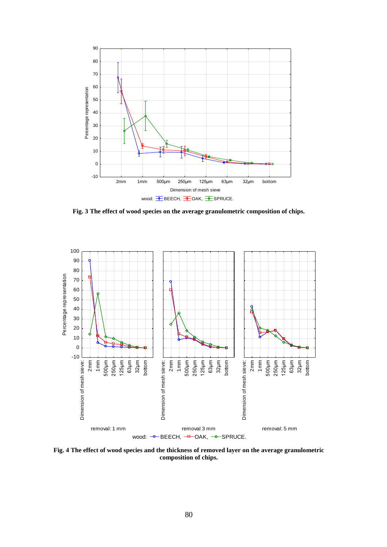

**Fig. 3 The effect of wood species on the average granulometric composition of chips.**



**Fig. 4 The effect of wood species and the thickness of removed layer on the average granulometric composition of chips.**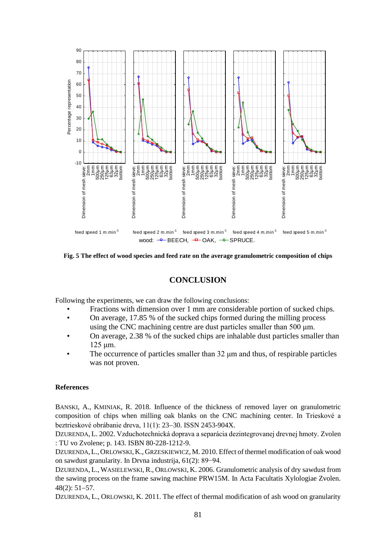

**Fig. 5 The effect of wood species and feed rate on the average granulometric composition of chips**

# **CONCLUSION**

Following the experiments, we can draw the following conclusions:

- Fractions with dimension over 1 mm are considerable portion of sucked chips.
- On average, 17.85 % of the sucked chips formed during the milling process using the CNC machining centre are dust particles smaller than 500 μm.
- On average, 2.38 % of the sucked chips are inhalable dust particles smaller than 125 μm.
- The occurrence of particles smaller than 32 μm and thus, of respirable particles was not proven.

#### **References**

BANSKI, A., KMINIAK, R. 2018. Influence of the thickness of removed layer on granulometric composition of chips when milling oak blanks on the CNC machining center. In Trieskové a beztrieskové obrábanie dreva, 11(1): 23-30. ISSN 2453-904X.

DZURENDA, L. 2002. Vzduchotechnická doprava a separácia dezintegrovanej drevnej hmoty. Zvolen : TU vo Zvolene; p. 143. ISBN 80-228-1212-9.

DZURENDA,L., ORLOWSKI, K., GRZESKIEWICZ, M. 2010. Effect of thermel modification of oak wood on sawdust granularity. In Drvna industrija, 61(2): 89−94.

DZURENDA, L., WASIELEWSKI, R., ORLOWSKI, K. 2006. Granulometric analysis of dry sawdust from the sawing process on the frame sawing machine PRW15M. In Acta Facultatis Xylologiae Zvolen.  $48(2): 51-57.$ 

DZURENDA, L., ORLOWSKI, K. 2011. The effect of thermal modification of ash wood on granularity